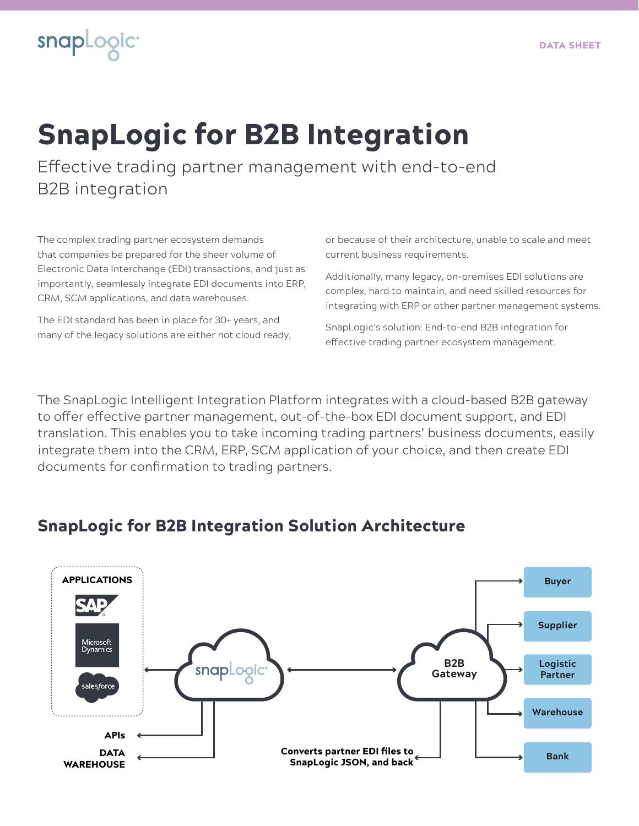

## SnapLogic for B2B Integration

Effective trading partner management with end-to-end B2B integration

The complex trading partner ecosystem demands that companies be prepared for the sheer volume of Electronic Data Interchange (EDI) transactions, and just as importantly, seamlessly integrate EDI documents into ERP, CRM, SCM applications, and data warehouses.

The EDI standard has been in place for 30+ years, and many of the legacy solutions are either not cloud ready, or because of their architecture, unable to scale and meet current business requirements.

Additionally, many legacy, on-premises EDI solutions are complex, hard to maintain, and need skilled resources for integrating with ERP or other partner management systems.

SnapLogic's solution: End-to-end B2B integration for effective trading partner ecosystem management.

The SnapLogic Intelligent Integration Platform integrates with a cloud-based B2B gateway to offer effective partner management, out-of-the-box EDI document support, and EDI translation. This enables you to take incoming trading partners' business documents, easily integrate them into the CRM, ERP, SCM application of your choice, and then create EDI documents for confirmation to trading partners.

## SnapLogic for B2B Integration Solution Architecture